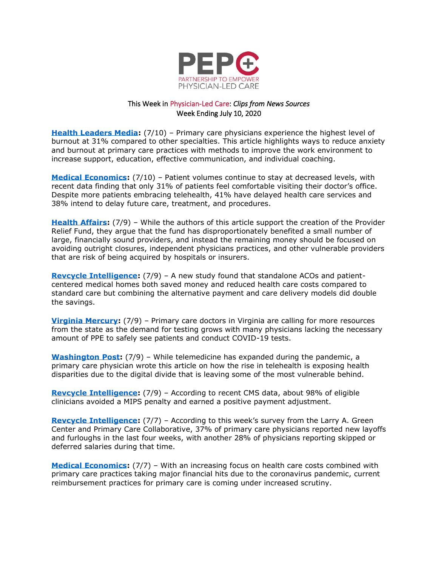

## This Week in Physician-Led Care: *Clips from News Sources*  Week Ending July 10, 2020

**[Health Leaders Media:](http://www.healthleadersmedia.com/clinical-care/how-reduce-anxiety-and-burnout-primary-care-practices)** (7/10) – Primary care physicians experience the highest level of burnout at 31% compared to other specialties. This article highlights ways to reduce anxiety and burnout at primary care practices with methods to improve the work environment to increase support, education, effective communication, and individual coaching.

**[Medical Economics:](https://www.medicaleconomics.com/view/strategies-to-rebuild-patient-volumes-in-the-wake-of-covid-19)** (7/10) – Patient volumes continue to stay at decreased levels, with recent data finding that only 31% of patients feel comfortable visiting their doctor's office. Despite more patients embracing telehealth, 41% have delayed health care services and 38% intend to delay future care, treatment, and procedures.

**[Health Affairs:](https://www.healthaffairs.org/do/10.1377/hblog20200706.961297/full/)** (7/9) – While the authors of this article support the creation of the Provider Relief Fund, they argue that the fund has disproportionately benefited a small number of large, financially sound providers, and instead the remaining money should be focused on avoiding outright closures, independent physicians practices, and other vulnerable providers that are risk of being acquired by hospitals or insurers.

**[Revcycle Intelligence:](https://revcycleintelligence.com/news/standalone-acos-saved-more-than-hybrid-medical-home-models)** (7/9) – A new study found that standalone ACOs and patientcentered medical homes both saved money and reduced health care costs compared to standard care but combining the alternative payment and care delivery models did double the savings.

**[Virginia Mercury:](https://www.virginiamercury.com/2020/07/09/primary-care-doctors-in-virginia-want-more-resources-from-state-as-demand-for-testing-grows/)** (7/9) – Primary care doctors in Virginia are calling for more resources from the state as the demand for testing grows with many physicians lacking the necessary amount of PPE to safely see patients and conduct COVID-19 tests.

**[Washington Post:](https://www.washingtonpost.com/outlook/2020/07/09/telemedicine-is-booming-during-pandemic-its-leaving-people-behind/)** (7/9) – While telemedicine has expanded during the pandemic, a primary care physician wrote this article on how the rise in telehealth is exposing health disparities due to the digital divide that is leaving some of the most vulnerable behind.

**Revcycle [Intelligence:](https://revcycleintelligence.com/news/98-of-eligible-clinicians-avoided-a-mips-penalty-in-2018)** (7/9) – According to recent CMS data, about 98% of eligible clinicians avoided a MIPS penalty and earned a positive payment adjustment.

**[Revcycle Intelligence:](https://revcycleintelligence.com/news/layoffs-continue-as-primary-care-braces-for-return-to-pre-covid-pay)** (7/7) – According to this week's survey from the Larry A. Green Center and Primary Care Collaborative, 37% of primary care physicians reported new layoffs and furloughs in the last four weeks, with another 28% of physicians reporting skipped or deferred salaries during that time.

**[Medical Economics:](https://www.medicaleconomics.com/view/how-should-primary-care-physicians-be-paid)** (7/7) – With an increasing focus on health care costs combined with primary care practices taking major financial hits due to the coronavirus pandemic, current reimbursement practices for primary care is coming under increased scrutiny.